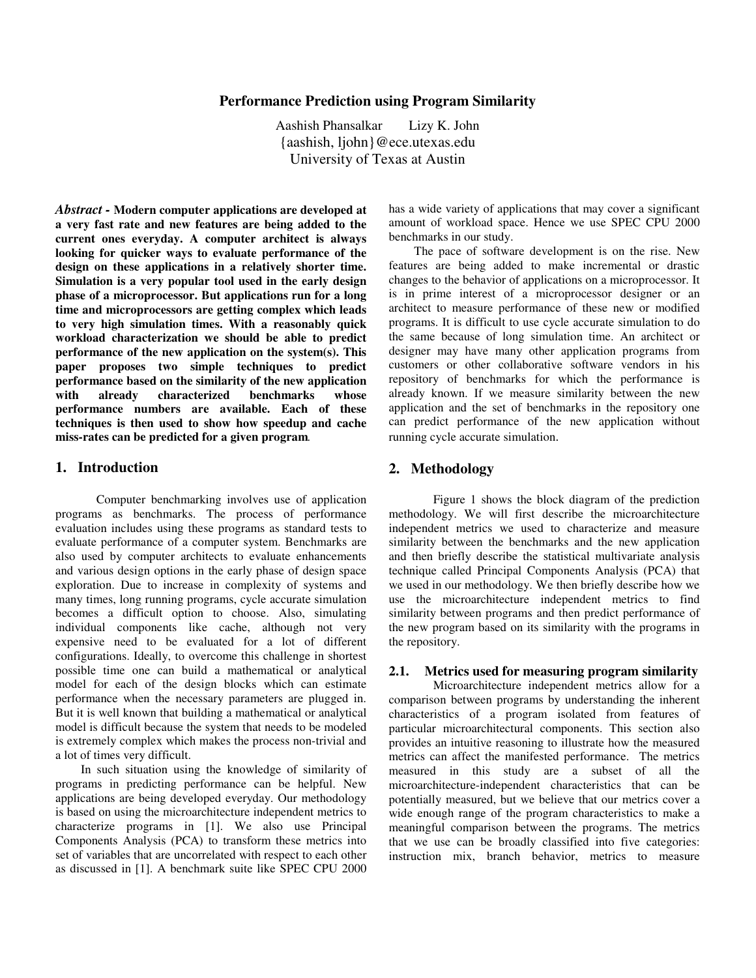# **Performance Prediction using Program Similarity**

Aashish Phansalkar Lizy K. John {aashish, ljohn}@ece.utexas.edu University of Texas at Austin

*Abstract -* **Modern computer applications are developed at a very fast rate and new features are being added to the current ones everyday. A computer architect is always looking for quicker ways to evaluate performance of the design on these applications in a relatively shorter time. Simulation is a very popular tool used in the early design phase of a microprocessor. But applications run for a long time and microprocessors are getting complex which leads to very high simulation times. With a reasonably quick workload characterization we should be able to predict performance of the new application on the system(s). This paper proposes two simple techniques to predict performance based on the similarity of the new application with already characterized benchmarks whose performance numbers are available. Each of these techniques is then used to show how speedup and cache miss-rates can be predicted for a given program***.* 

# **1. Introduction**

 Computer benchmarking involves use of application programs as benchmarks. The process of performance evaluation includes using these programs as standard tests to evaluate performance of a computer system. Benchmarks are also used by computer architects to evaluate enhancements and various design options in the early phase of design space exploration. Due to increase in complexity of systems and many times, long running programs, cycle accurate simulation becomes a difficult option to choose. Also, simulating individual components like cache, although not very expensive need to be evaluated for a lot of different configurations. Ideally, to overcome this challenge in shortest possible time one can build a mathematical or analytical model for each of the design blocks which can estimate performance when the necessary parameters are plugged in. But it is well known that building a mathematical or analytical model is difficult because the system that needs to be modeled is extremely complex which makes the process non-trivial and a lot of times very difficult.

 In such situation using the knowledge of similarity of programs in predicting performance can be helpful. New applications are being developed everyday. Our methodology is based on using the microarchitecture independent metrics to characterize programs in [1]. We also use Principal Components Analysis (PCA) to transform these metrics into set of variables that are uncorrelated with respect to each other as discussed in [1]. A benchmark suite like SPEC CPU 2000

has a wide variety of applications that may cover a significant amount of workload space. Hence we use SPEC CPU 2000 benchmarks in our study.

 The pace of software development is on the rise. New features are being added to make incremental or drastic changes to the behavior of applications on a microprocessor. It is in prime interest of a microprocessor designer or an architect to measure performance of these new or modified programs. It is difficult to use cycle accurate simulation to do the same because of long simulation time. An architect or designer may have many other application programs from customers or other collaborative software vendors in his repository of benchmarks for which the performance is already known. If we measure similarity between the new application and the set of benchmarks in the repository one can predict performance of the new application without running cycle accurate simulation.

# **2. Methodology**

 Figure 1 shows the block diagram of the prediction methodology. We will first describe the microarchitecture independent metrics we used to characterize and measure similarity between the benchmarks and the new application and then briefly describe the statistical multivariate analysis technique called Principal Components Analysis (PCA) that we used in our methodology. We then briefly describe how we use the microarchitecture independent metrics to find similarity between programs and then predict performance of the new program based on its similarity with the programs in the repository.

## **2.1. Metrics used for measuring program similarity**

 Microarchitecture independent metrics allow for a comparison between programs by understanding the inherent characteristics of a program isolated from features of particular microarchitectural components. This section also provides an intuitive reasoning to illustrate how the measured metrics can affect the manifested performance. The metrics measured in this study are a subset of all the microarchitecture-independent characteristics that can be potentially measured, but we believe that our metrics cover a wide enough range of the program characteristics to make a meaningful comparison between the programs. The metrics that we use can be broadly classified into five categories: instruction mix, branch behavior, metrics to measure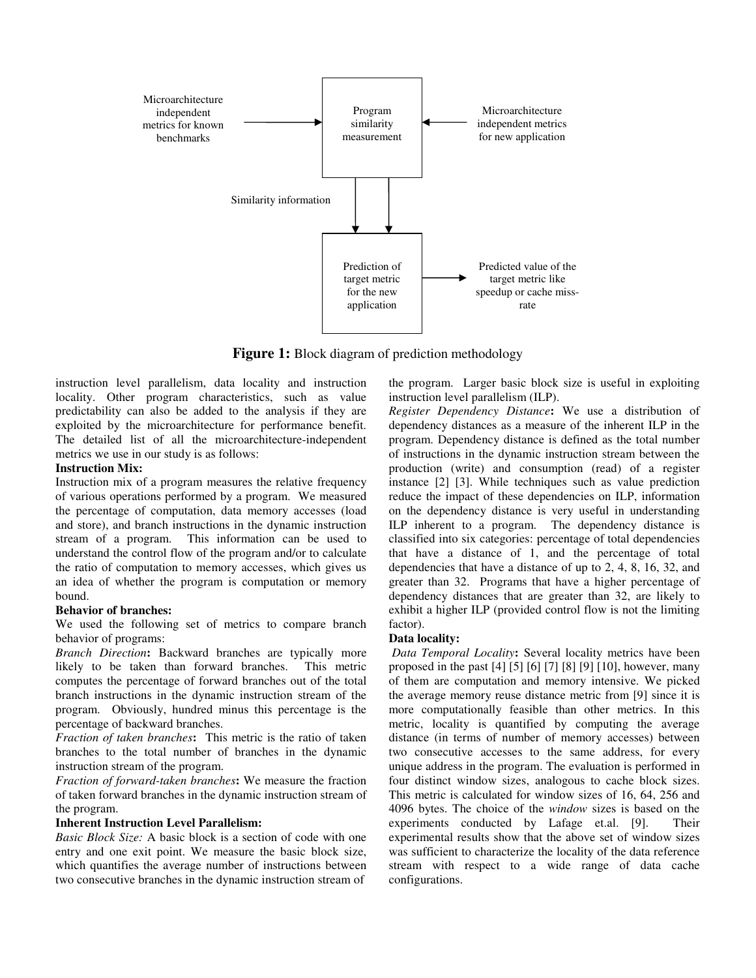

**Figure 1:** Block diagram of prediction methodology

instruction level parallelism, data locality and instruction locality. Other program characteristics, such as value predictability can also be added to the analysis if they are exploited by the microarchitecture for performance benefit. The detailed list of all the microarchitecture-independent metrics we use in our study is as follows:

#### **Instruction Mix:**

Instruction mix of a program measures the relative frequency of various operations performed by a program. We measured the percentage of computation, data memory accesses (load and store), and branch instructions in the dynamic instruction stream of a program. This information can be used to understand the control flow of the program and/or to calculate the ratio of computation to memory accesses, which gives us an idea of whether the program is computation or memory bound.

## **Behavior of branches:**

We used the following set of metrics to compare branch behavior of programs:

*Branch Direction***:** Backward branches are typically more likely to be taken than forward branches. This metric computes the percentage of forward branches out of the total branch instructions in the dynamic instruction stream of the program. Obviously, hundred minus this percentage is the percentage of backward branches.

*Fraction of taken branches***:** This metric is the ratio of taken branches to the total number of branches in the dynamic instruction stream of the program.

*Fraction of forward-taken branches***:** We measure the fraction of taken forward branches in the dynamic instruction stream of the program.

## **Inherent Instruction Level Parallelism:**

*Basic Block Size:* A basic block is a section of code with one entry and one exit point. We measure the basic block size, which quantifies the average number of instructions between two consecutive branches in the dynamic instruction stream of

the program. Larger basic block size is useful in exploiting instruction level parallelism (ILP).

*Register Dependency Distance***:** We use a distribution of dependency distances as a measure of the inherent ILP in the program. Dependency distance is defined as the total number of instructions in the dynamic instruction stream between the production (write) and consumption (read) of a register instance [2] [3]. While techniques such as value prediction reduce the impact of these dependencies on ILP, information on the dependency distance is very useful in understanding ILP inherent to a program. The dependency distance is classified into six categories: percentage of total dependencies that have a distance of 1, and the percentage of total dependencies that have a distance of up to 2, 4, 8, 16, 32, and greater than 32. Programs that have a higher percentage of dependency distances that are greater than 32, are likely to exhibit a higher ILP (provided control flow is not the limiting factor).

#### **Data locality:**

 *Data Temporal Locality***:** Several locality metrics have been proposed in the past [4] [5] [6] [7] [8] [9] [10], however, many of them are computation and memory intensive. We picked the average memory reuse distance metric from [9] since it is more computationally feasible than other metrics. In this metric, locality is quantified by computing the average distance (in terms of number of memory accesses) between two consecutive accesses to the same address, for every unique address in the program. The evaluation is performed in four distinct window sizes, analogous to cache block sizes. This metric is calculated for window sizes of 16, 64, 256 and 4096 bytes. The choice of the *window* sizes is based on the experiments conducted by Lafage et.al. [9]. Their experimental results show that the above set of window sizes was sufficient to characterize the locality of the data reference stream with respect to a wide range of data cache configurations.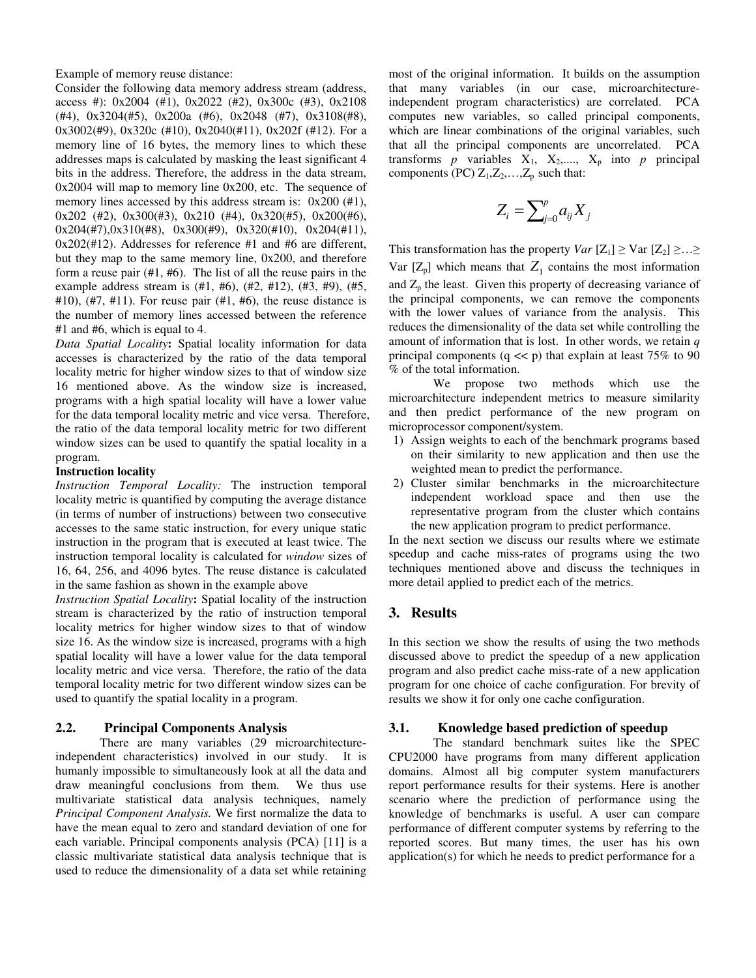Example of memory reuse distance:

Consider the following data memory address stream (address, access #): 0x2004 (#1), 0x2022 (#2), 0x300c (#3), 0x2108 (#4), 0x3204(#5), 0x200a (#6), 0x2048 (#7), 0x3108(#8), 0x3002(#9), 0x320c (#10), 0x2040(#11), 0x202f (#12). For a memory line of 16 bytes, the memory lines to which these addresses maps is calculated by masking the least significant 4 bits in the address. Therefore, the address in the data stream, 0x2004 will map to memory line 0x200, etc. The sequence of memory lines accessed by this address stream is:  $0x200$  (#1), 0x202 (#2), 0x300(#3), 0x210 (#4), 0x320(#5), 0x200(#6), 0x204(#7),0x310(#8), 0x300(#9), 0x320(#10), 0x204(#11), 0x202(#12). Addresses for reference #1 and #6 are different, but they map to the same memory line, 0x200, and therefore form a reuse pair (#1, #6). The list of all the reuse pairs in the example address stream is (#1, #6), (#2, #12), (#3, #9), (#5,  $#10$ ),  $#7, #11$ ). For reuse pair  $(H1, #6)$ , the reuse distance is the number of memory lines accessed between the reference #1 and #6, which is equal to 4.

*Data Spatial Locality***:** Spatial locality information for data accesses is characterized by the ratio of the data temporal locality metric for higher window sizes to that of window size 16 mentioned above. As the window size is increased, programs with a high spatial locality will have a lower value for the data temporal locality metric and vice versa. Therefore, the ratio of the data temporal locality metric for two different window sizes can be used to quantify the spatial locality in a program.

#### **Instruction locality**

*Instruction Temporal Locality:* The instruction temporal locality metric is quantified by computing the average distance (in terms of number of instructions) between two consecutive accesses to the same static instruction, for every unique static instruction in the program that is executed at least twice. The instruction temporal locality is calculated for *window* sizes of 16, 64, 256, and 4096 bytes. The reuse distance is calculated in the same fashion as shown in the example above

*Instruction Spatial Locality***:** Spatial locality of the instruction stream is characterized by the ratio of instruction temporal locality metrics for higher window sizes to that of window size 16. As the window size is increased, programs with a high spatial locality will have a lower value for the data temporal locality metric and vice versa. Therefore, the ratio of the data temporal locality metric for two different window sizes can be used to quantify the spatial locality in a program.

### **2.2. Principal Components Analysis**

There are many variables (29 microarchitectureindependent characteristics) involved in our study. It is humanly impossible to simultaneously look at all the data and draw meaningful conclusions from them. We thus use multivariate statistical data analysis techniques, namely *Principal Component Analysis.* We first normalize the data to have the mean equal to zero and standard deviation of one for each variable. Principal components analysis (PCA) [11] is a classic multivariate statistical data analysis technique that is used to reduce the dimensionality of a data set while retaining most of the original information. It builds on the assumption that many variables (in our case, microarchitectureindependent program characteristics) are correlated. PCA computes new variables, so called principal components, which are linear combinations of the original variables, such that all the principal components are uncorrelated. PCA transforms  $p$  variables  $X_1$ ,  $X_2$ ,....,  $X_p$  into  $p$  principal components (PC)  $Z_1, Z_2, \ldots, Z_p$  such that:

$$
Z_i = \sum_{j=0}^p a_{ij} X_j
$$

This transformation has the property *Var*  $[Z_1] \geq$  Var  $[Z_2] \geq ... \geq$ Var  $[Z_p]$  which means that  $Z_1$  contains the most information and  $Z_p$  the least. Given this property of decreasing variance of the principal components, we can remove the components with the lower values of variance from the analysis. This reduces the dimensionality of the data set while controlling the amount of information that is lost. In other words, we retain *q* principal components  $(q \ll p)$  that explain at least 75% to 90 % of the total information.

We propose two methods which use the microarchitecture independent metrics to measure similarity and then predict performance of the new program on microprocessor component/system.

- 1) Assign weights to each of the benchmark programs based on their similarity to new application and then use the weighted mean to predict the performance.
- 2) Cluster similar benchmarks in the microarchitecture independent workload space and then use the representative program from the cluster which contains the new application program to predict performance.

In the next section we discuss our results where we estimate speedup and cache miss-rates of programs using the two techniques mentioned above and discuss the techniques in more detail applied to predict each of the metrics.

# **3. Results**

In this section we show the results of using the two methods discussed above to predict the speedup of a new application program and also predict cache miss-rate of a new application program for one choice of cache configuration. For brevity of results we show it for only one cache configuration.

# **3.1. Knowledge based prediction of speedup**

The standard benchmark suites like the SPEC CPU2000 have programs from many different application domains. Almost all big computer system manufacturers report performance results for their systems. Here is another scenario where the prediction of performance using the knowledge of benchmarks is useful. A user can compare performance of different computer systems by referring to the reported scores. But many times, the user has his own application(s) for which he needs to predict performance for a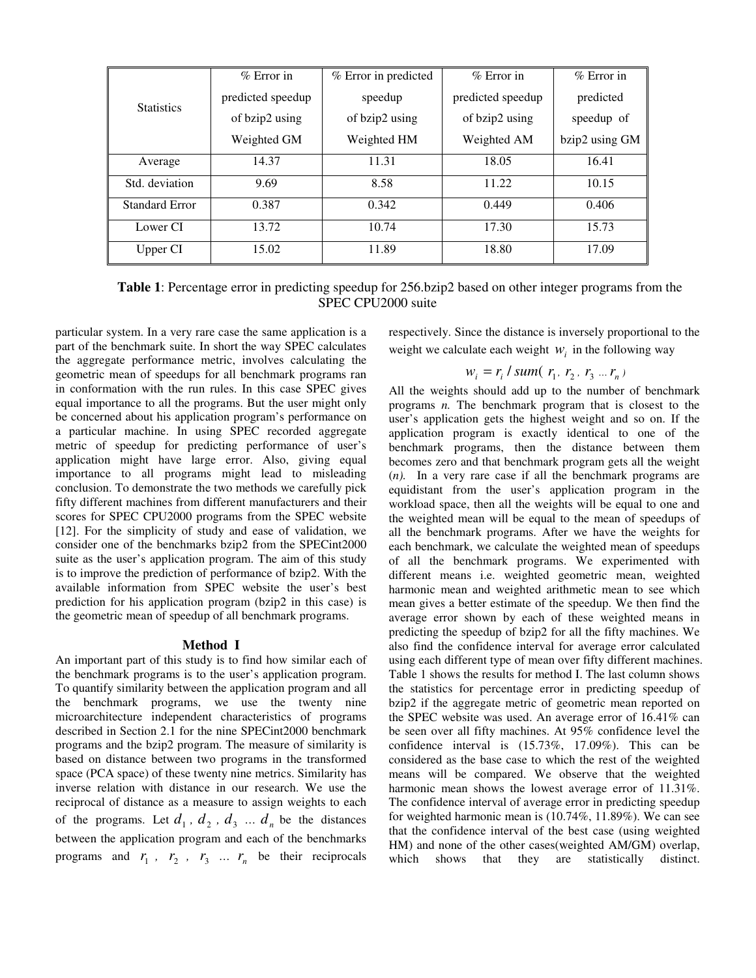| <b>Statistics</b>     | $%$ Error in      | % Error in predicted | $%$ Error in      | $%$ Error in   |
|-----------------------|-------------------|----------------------|-------------------|----------------|
|                       | predicted speedup | speedup              | predicted speedup | predicted      |
|                       | of bzip2 using    | of bzip2 using       | of bzip2 using    | speedup of     |
|                       | Weighted GM       | Weighted HM          | Weighted AM       | bzip2 using GM |
| Average               | 14.37             | 11.31                | 18.05             | 16.41          |
| Std. deviation        | 9.69              | 8.58                 | 11.22             | 10.15          |
| <b>Standard Error</b> | 0.387             | 0.342                | 0.449             | 0.406          |
| Lower CI              | 13.72             | 10.74                | 17.30             | 15.73          |
| Upper CI              | 15.02             | 11.89                | 18.80             | 17.09          |

**Table 1**: Percentage error in predicting speedup for 256.bzip2 based on other integer programs from the SPEC CPU2000 suite

particular system. In a very rare case the same application is a part of the benchmark suite. In short the way SPEC calculates the aggregate performance metric, involves calculating the geometric mean of speedups for all benchmark programs ran in conformation with the run rules. In this case SPEC gives equal importance to all the programs. But the user might only be concerned about his application program's performance on a particular machine. In using SPEC recorded aggregate metric of speedup for predicting performance of user's application might have large error. Also, giving equal importance to all programs might lead to misleading conclusion. To demonstrate the two methods we carefully pick fifty different machines from different manufacturers and their scores for SPEC CPU2000 programs from the SPEC website [12]. For the simplicity of study and ease of validation, we consider one of the benchmarks bzip2 from the SPECint2000 suite as the user's application program. The aim of this study is to improve the prediction of performance of bzip2. With the available information from SPEC website the user's best prediction for his application program (bzip2 in this case) is the geometric mean of speedup of all benchmark programs.

#### **Method I**

An important part of this study is to find how similar each of the benchmark programs is to the user's application program. To quantify similarity between the application program and all the benchmark programs, we use the twenty nine microarchitecture independent characteristics of programs described in Section 2.1 for the nine SPECint2000 benchmark programs and the bzip2 program. The measure of similarity is based on distance between two programs in the transformed space (PCA space) of these twenty nine metrics. Similarity has inverse relation with distance in our research. We use the reciprocal of distance as a measure to assign weights to each of the programs. Let  $d_1$ ,  $d_2$ ,  $d_3$  ...  $d_n$  be the distances between the application program and each of the benchmarks programs and  $r_1$ ,  $r_2$ ,  $r_3$  ...  $r_n$  be their reciprocals respectively. Since the distance is inversely proportional to the weight we calculate each weight  $W_i$  in the following way

# $w_i = r_i / sum(r_1, r_2, r_3 ... r_n)$

All the weights should add up to the number of benchmark programs *n.* The benchmark program that is closest to the user's application gets the highest weight and so on. If the application program is exactly identical to one of the benchmark programs, then the distance between them becomes zero and that benchmark program gets all the weight (*n).* In a very rare case if all the benchmark programs are equidistant from the user's application program in the workload space, then all the weights will be equal to one and the weighted mean will be equal to the mean of speedups of all the benchmark programs. After we have the weights for each benchmark, we calculate the weighted mean of speedups of all the benchmark programs. We experimented with different means i.e. weighted geometric mean, weighted harmonic mean and weighted arithmetic mean to see which mean gives a better estimate of the speedup. We then find the average error shown by each of these weighted means in predicting the speedup of bzip2 for all the fifty machines. We also find the confidence interval for average error calculated using each different type of mean over fifty different machines. Table 1 shows the results for method I. The last column shows the statistics for percentage error in predicting speedup of bzip2 if the aggregate metric of geometric mean reported on the SPEC website was used. An average error of 16.41% can be seen over all fifty machines. At 95% confidence level the confidence interval is (15.73%, 17.09%). This can be considered as the base case to which the rest of the weighted means will be compared. We observe that the weighted harmonic mean shows the lowest average error of 11.31%. The confidence interval of average error in predicting speedup for weighted harmonic mean is (10.74%, 11.89%). We can see that the confidence interval of the best case (using weighted HM) and none of the other cases(weighted AM/GM) overlap, which shows that they are statistically distinct.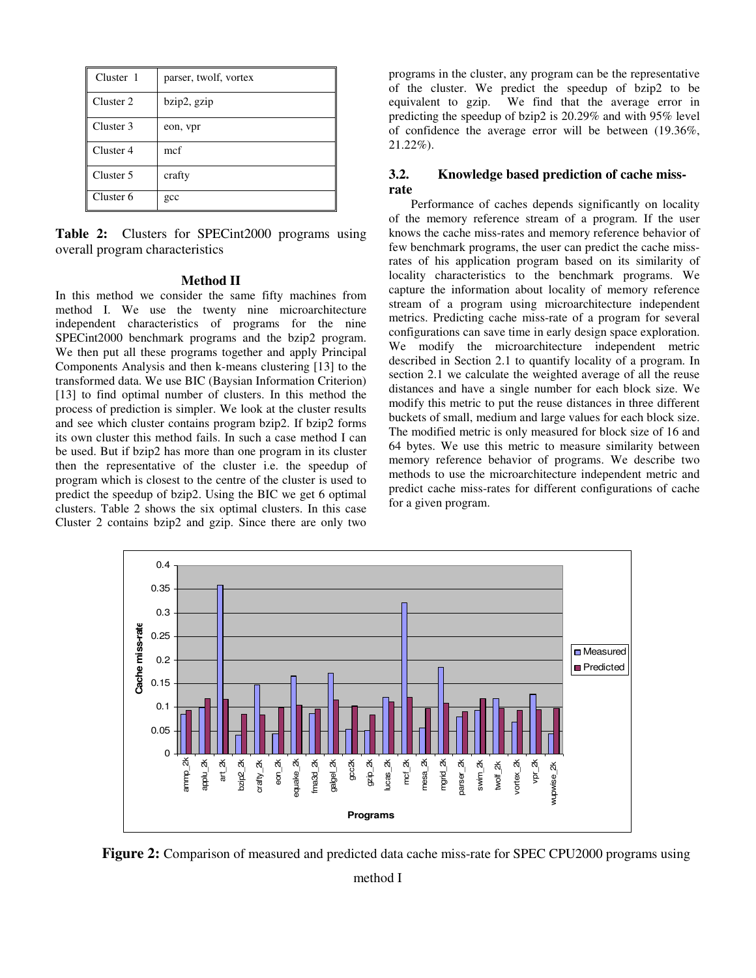| Cluster 1 | parser, twolf, vortex |
|-----------|-----------------------|
| Cluster 2 | bzip2, gzip           |
| Cluster 3 | eon, vpr              |
| Cluster 4 | mcf                   |
| Cluster 5 | crafty                |
| Cluster 6 | gcc                   |

**Table 2:** Clusters for SPECint2000 programs using overall program characteristics

#### **Method II**

In this method we consider the same fifty machines from method I. We use the twenty nine microarchitecture independent characteristics of programs for the nine SPECint2000 benchmark programs and the bzip2 program. We then put all these programs together and apply Principal Components Analysis and then k-means clustering [13] to the transformed data. We use BIC (Baysian Information Criterion) [13] to find optimal number of clusters. In this method the process of prediction is simpler. We look at the cluster results and see which cluster contains program bzip2. If bzip2 forms its own cluster this method fails. In such a case method I can be used. But if bzip2 has more than one program in its cluster then the representative of the cluster i.e. the speedup of program which is closest to the centre of the cluster is used to predict the speedup of bzip2. Using the BIC we get 6 optimal clusters. Table 2 shows the six optimal clusters. In this case Cluster 2 contains bzip2 and gzip. Since there are only two

programs in the cluster, any program can be the representative of the cluster. We predict the speedup of bzip2 to be equivalent to gzip. We find that the average error in predicting the speedup of bzip2 is 20.29% and with 95% level of confidence the average error will be between (19.36%, 21.22%).

# **3.2. Knowledge based prediction of cache missrate**

Performance of caches depends significantly on locality of the memory reference stream of a program. If the user knows the cache miss-rates and memory reference behavior of few benchmark programs, the user can predict the cache missrates of his application program based on its similarity of locality characteristics to the benchmark programs. We capture the information about locality of memory reference stream of a program using microarchitecture independent metrics. Predicting cache miss-rate of a program for several configurations can save time in early design space exploration. We modify the microarchitecture independent metric described in Section 2.1 to quantify locality of a program. In section 2.1 we calculate the weighted average of all the reuse distances and have a single number for each block size. We modify this metric to put the reuse distances in three different buckets of small, medium and large values for each block size. The modified metric is only measured for block size of 16 and 64 bytes. We use this metric to measure similarity between memory reference behavior of programs. We describe two methods to use the microarchitecture independent metric and predict cache miss-rates for different configurations of cache for a given program.



**Figure 2:** Comparison of measured and predicted data cache miss-rate for SPEC CPU2000 programs using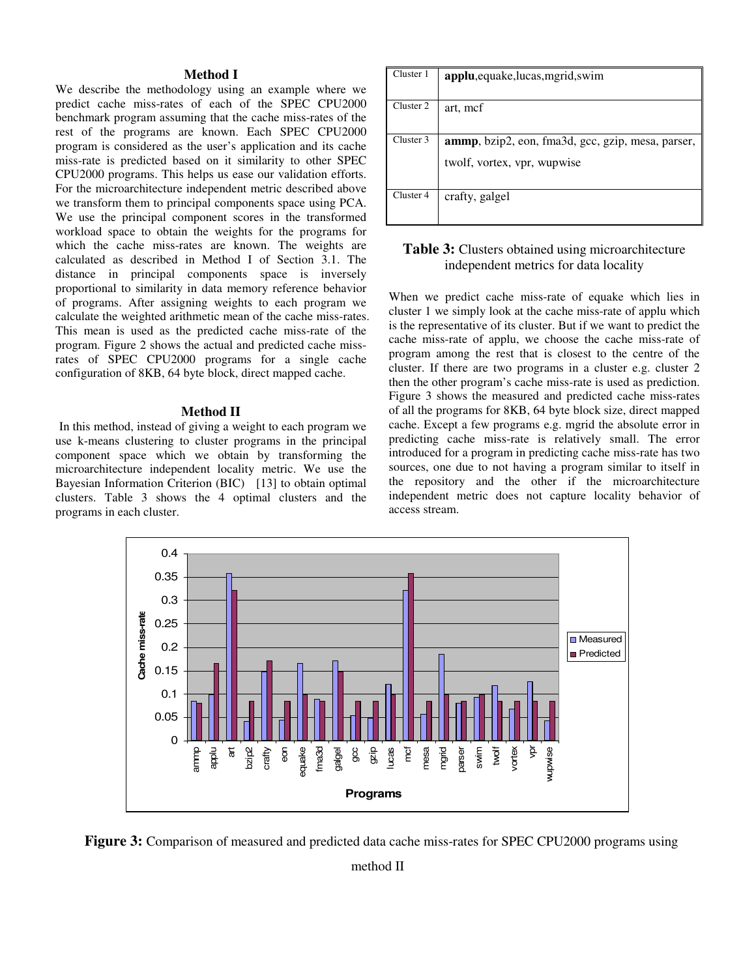#### **Method I**

We describe the methodology using an example where we predict cache miss-rates of each of the SPEC CPU2000 benchmark program assuming that the cache miss-rates of the rest of the programs are known. Each SPEC CPU2000 program is considered as the user's application and its cache miss-rate is predicted based on it similarity to other SPEC CPU2000 programs. This helps us ease our validation efforts. For the microarchitecture independent metric described above we transform them to principal components space using PCA. We use the principal component scores in the transformed workload space to obtain the weights for the programs for which the cache miss-rates are known. The weights are calculated as described in Method I of Section 3.1. The distance in principal components space is inversely proportional to similarity in data memory reference behavior of programs. After assigning weights to each program we calculate the weighted arithmetic mean of the cache miss-rates. This mean is used as the predicted cache miss-rate of the program. Figure 2 shows the actual and predicted cache missrates of SPEC CPU2000 programs for a single cache configuration of 8KB, 64 byte block, direct mapped cache.

#### **Method II**

In this method, instead of giving a weight to each program we use k-means clustering to cluster programs in the principal component space which we obtain by transforming the microarchitecture independent locality metric. We use the Bayesian Information Criterion (BIC) [13] to obtain optimal clusters. Table 3 shows the 4 optimal clusters and the programs in each cluster.

| Cluster 1 | applu, equake, lucas, mgrid, swim                                                        |
|-----------|------------------------------------------------------------------------------------------|
| Cluster 2 | art, mcf                                                                                 |
| Cluster 3 | <b>ammp</b> , bzip2, eon, fma3d, gcc, gzip, mesa, parser,<br>twolf, vortex, vpr, wupwise |
| Cluster 4 | crafty, galgel                                                                           |

# **Table 3:** Clusters obtained using microarchitecture independent metrics for data locality

When we predict cache miss-rate of equake which lies in cluster 1 we simply look at the cache miss-rate of applu which is the representative of its cluster. But if we want to predict the cache miss-rate of applu, we choose the cache miss-rate of program among the rest that is closest to the centre of the cluster. If there are two programs in a cluster e.g. cluster 2 then the other program's cache miss-rate is used as prediction. Figure 3 shows the measured and predicted cache miss-rates of all the programs for 8KB, 64 byte block size, direct mapped cache. Except a few programs e.g. mgrid the absolute error in predicting cache miss-rate is relatively small. The error introduced for a program in predicting cache miss-rate has two sources, one due to not having a program similar to itself in the repository and the other if the microarchitecture independent metric does not capture locality behavior of access stream.



 **Figure 3:** Comparison of measured and predicted data cache miss-rates for SPEC CPU2000 programs using